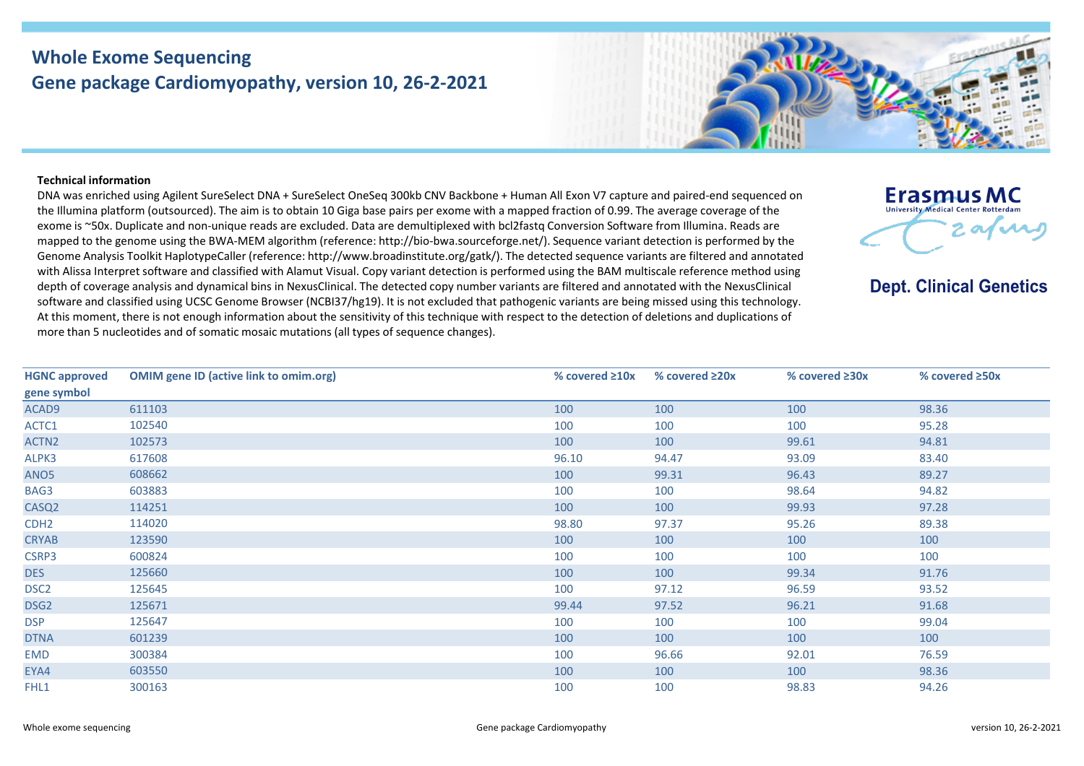## **Whole Exome Sequencing Gene package Cardiomyopathy, version 10, 26-2-2021**



## **Technical information**

DNA was enriched using Agilent SureSelect DNA + SureSelect OneSeq 300kb CNV Backbone + Human All Exon V7 capture and paired-end sequenced on the Illumina platform (outsourced). The aim is to obtain 10 Giga base pairs per exome with a mapped fraction of 0.99. The average coverage of the exome is ~50x. Duplicate and non-unique reads are excluded. Data are demultiplexed with bcl2fastq Conversion Software from Illumina. Reads are mapped to the genome using the BWA-MEM algorithm (reference: http://bio-bwa.sourceforge.net/). Sequence variant detection is performed by the Genome Analysis Toolkit HaplotypeCaller (reference: http://www.broadinstitute.org/gatk/). The detected sequence variants are filtered and annotated with Alissa Interpret software and classified with Alamut Visual. Copy variant detection is performed using the BAM multiscale reference method using depth of coverage analysis and dynamical bins in NexusClinical. The detected copy number variants are filtered and annotated with the NexusClinical software and classified using UCSC Genome Browser (NCBI37/hg19). It is not excluded that pathogenic variants are being missed using this technology. At this moment, there is not enough information about the sensitivity of this technique with respect to the detection of deletions and duplications of more than 5 nucleotides and of somatic mosaic mutations (all types of sequence changes).



**Dept. Clinical Genetics** 

| <b>HGNC approved</b> | <b>OMIM gene ID (active link to omim.org)</b> | % covered $\geq 10x$ | % covered $\geq 20x$ | % covered $\geq 30x$ | % covered $\geq$ 50x |
|----------------------|-----------------------------------------------|----------------------|----------------------|----------------------|----------------------|
| gene symbol          |                                               |                      |                      |                      |                      |
| ACAD9                | 611103                                        | 100                  | 100                  | 100                  | 98.36                |
| ACTC1                | 102540                                        | 100                  | 100                  | 100                  | 95.28                |
| ACTN <sub>2</sub>    | 102573                                        | 100                  | 100                  | 99.61                | 94.81                |
| ALPK3                | 617608                                        | 96.10                | 94.47                | 93.09                | 83.40                |
| ANO <sub>5</sub>     | 608662                                        | 100                  | 99.31                | 96.43                | 89.27                |
| BAG3                 | 603883                                        | 100                  | 100                  | 98.64                | 94.82                |
| CASQ <sub>2</sub>    | 114251                                        | 100                  | 100                  | 99.93                | 97.28                |
| CDH <sub>2</sub>     | 114020                                        | 98.80                | 97.37                | 95.26                | 89.38                |
| <b>CRYAB</b>         | 123590                                        | 100                  | 100                  | 100                  | 100                  |
| CSRP3                | 600824                                        | 100                  | 100                  | 100                  | 100                  |
| <b>DES</b>           | 125660                                        | 100                  | 100                  | 99.34                | 91.76                |
| DSC <sub>2</sub>     | 125645                                        | 100                  | 97.12                | 96.59                | 93.52                |
| DSG <sub>2</sub>     | 125671                                        | 99.44                | 97.52                | 96.21                | 91.68                |
| <b>DSP</b>           | 125647                                        | 100                  | 100                  | 100                  | 99.04                |
| <b>DTNA</b>          | 601239                                        | 100                  | 100                  | 100                  | 100                  |
| <b>EMD</b>           | 300384                                        | 100                  | 96.66                | 92.01                | 76.59                |
| EYA4                 | 603550                                        | 100                  | 100                  | 100                  | 98.36                |
| FHL1                 | 300163                                        | 100                  | 100                  | 98.83                | 94.26                |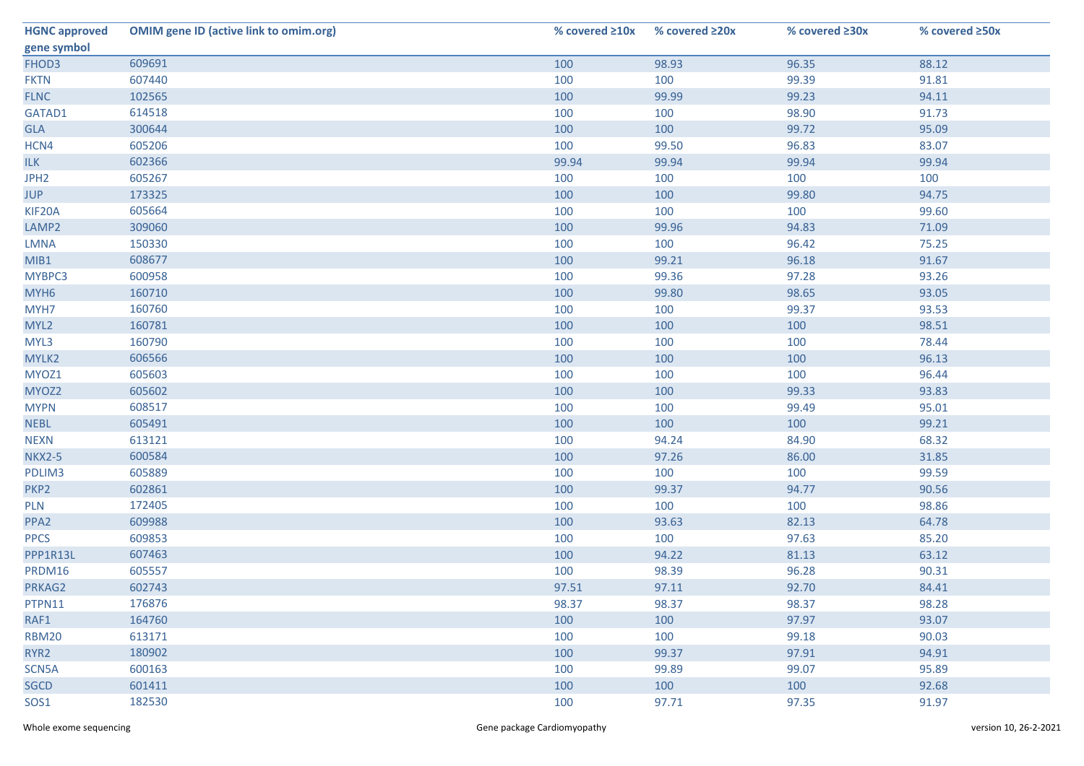| <b>HGNC approved</b> | <b>OMIM gene ID (active link to omim.org)</b> | % covered $\geq 10x$ | % covered ≥20x | % covered $\geq 30x$ | % covered ≥50x |
|----------------------|-----------------------------------------------|----------------------|----------------|----------------------|----------------|
| gene symbol          |                                               |                      |                |                      |                |
| FHOD3                | 609691                                        | 100                  | 98.93          | 96.35                | 88.12          |
| <b>FKTN</b>          | 607440                                        | 100                  | 100            | 99.39                | 91.81          |
| <b>FLNC</b>          | 102565                                        | 100                  | 99.99          | 99.23                | 94.11          |
| GATAD1               | 614518                                        | 100                  | 100            | 98.90                | 91.73          |
| <b>GLA</b>           | 300644                                        | 100                  | 100            | 99.72                | 95.09          |
| HCN4                 | 605206                                        | 100                  | 99.50          | 96.83                | 83.07          |
| <b>ILK</b>           | 602366                                        | 99.94                | 99.94          | 99.94                | 99.94          |
| JPH <sub>2</sub>     | 605267                                        | 100                  | 100            | 100                  | 100            |
| <b>JUP</b>           | 173325                                        | 100                  | 100            | 99.80                | 94.75          |
| KIF20A               | 605664                                        | 100                  | 100            | 100                  | 99.60          |
| LAMP2                | 309060                                        | 100                  | 99.96          | 94.83                | 71.09          |
| <b>LMNA</b>          | 150330                                        | 100                  | 100            | 96.42                | 75.25          |
| MIB1                 | 608677                                        | 100                  | 99.21          | 96.18                | 91.67          |
| MYBPC3               | 600958                                        | 100                  | 99.36          | 97.28                | 93.26          |
| MYH <sub>6</sub>     | 160710                                        | 100                  | 99.80          | 98.65                | 93.05          |
| MYH7                 | 160760                                        | 100                  | 100            | 99.37                | 93.53          |
| MYL <sub>2</sub>     | 160781                                        | 100                  | 100            | 100                  | 98.51          |
| MYL3                 | 160790                                        | 100                  | 100            | 100                  | 78.44          |
| MYLK2                | 606566                                        | 100                  | 100            | 100                  | 96.13          |
| MYOZ1                | 605603                                        | 100                  | 100            | 100                  | 96.44          |
| MYOZ2                | 605602                                        | 100                  | 100            | 99.33                | 93.83          |
| <b>MYPN</b>          | 608517                                        | 100                  | 100            | 99.49                | 95.01          |
| <b>NEBL</b>          | 605491                                        | 100                  | 100            | 100                  | 99.21          |
| <b>NEXN</b>          | 613121                                        | 100                  | 94.24          | 84.90                | 68.32          |
| <b>NKX2-5</b>        | 600584                                        | 100                  | 97.26          | 86.00                | 31.85          |
| PDLIM3               | 605889                                        | 100                  | 100            | 100                  | 99.59          |
| PKP <sub>2</sub>     | 602861                                        | 100                  | 99.37          | 94.77                | 90.56          |
| <b>PLN</b>           | 172405                                        | 100                  | 100            | 100                  | 98.86          |
| PPA <sub>2</sub>     | 609988                                        | 100                  | 93.63          | 82.13                | 64.78          |
| <b>PPCS</b>          | 609853                                        | 100                  | 100            | 97.63                | 85.20          |
| PPP1R13L             | 607463                                        | 100                  | 94.22          | 81.13                | 63.12          |
| PRDM16               | 605557                                        | 100                  | 98.39          | 96.28                | 90.31          |
| PRKAG2               | 602743                                        | 97.51                | 97.11          | 92.70                | 84.41          |
| PTPN11               | 176876                                        | 98.37                | 98.37          | 98.37                | 98.28          |
| RAF1                 | 164760                                        | 100                  | 100            | 97.97                | 93.07          |
| <b>RBM20</b>         | 613171                                        | 100                  | 100            | 99.18                | 90.03          |
| RYR <sub>2</sub>     | 180902                                        | 100                  | 99.37          | 97.91                | 94.91          |
| SCN5A                | 600163                                        | 100                  | 99.89          | 99.07                | 95.89          |
| <b>SGCD</b>          | 601411                                        | 100                  | 100            | 100                  | 92.68          |
| SOS1                 | 182530                                        | 100                  | 97.71          | 97.35                | 91.97          |